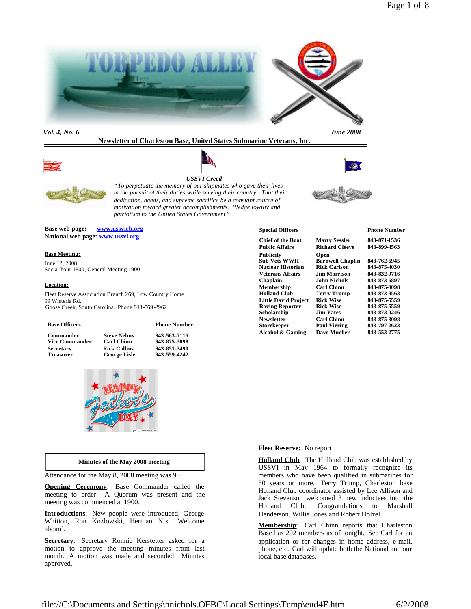

*Vol. 4, No. 6 June 2008*

# **Newsletter of Charleston Base, United States Submarine Veterans, Inc.**









*"To perpetuate the memory of our shipmates who gave their lives in the pursuit of their duties while serving their country. That their dedication, deeds, and supreme sacrifice be a constant source of motivation toward greater accomplishments. Pledge loyalty and patriotism to the United States Government"*

**Base web page: www.ussvicb.org National web page: www.ussvi.org**

#### **Base Meeting:**

June 12, 2008 Social hour 1800, General Meeting 1900

#### **Location:**

Fleet Reserve Association Branch 269, Low Country Home 99 Wisteria Rd. Goose Creek, South Carolina. Phone 843 -569-2962

| <b>Base Officers</b>  |                     | <b>Phone Number</b> |
|-----------------------|---------------------|---------------------|
| Commander             | <b>Steve Nelms</b>  | 843-563-7115        |
| <b>Vice Commander</b> | <b>Carl Chinn</b>   | 843-875-3098        |
| <b>Secretary</b>      | <b>Rick Collins</b> | 843-851-3490        |
| <b>Treasurer</b>      | <b>George Lisle</b> | 843-559-4242        |



#### **Minutes of the May 2008 meeting**

Attendance for the May 8, 2008 meeting was 90

**Opening Ceremony**: Base Commander called the meeting to order. A Quorum was present and the meeting was commenced at 1900.

**Introductions**: New people were introduced; George Whitton, Ron Kozlowski, Herman Nix. Welcome aboard.

**Secretary**: Secretary Ronnie Kerstetter asked for a motion to approve the meeting minutes from last month. A motion was made and seconded. Minutes approved.

| <b>Special Officers</b>                                       |                                                        | <b>Phone Number</b>          |  |
|---------------------------------------------------------------|--------------------------------------------------------|------------------------------|--|
| <b>Chief of the Boat</b>                                      | <b>Marty Sessler</b>                                   | 843-871-1536                 |  |
| <b>Public Affairs</b>                                         | <b>Richard Cleeve</b>                                  | 843-899-1563                 |  |
| <b>Publicity</b><br><b>Sub Vets WWII</b><br>Nuclear Historian | Open<br><b>Barnwell Chaplin</b><br><b>Rick Carlson</b> | 843-762-6945<br>843-875-4030 |  |
| <b>Veterans Affairs</b>                                       | <b>Jim Morrison</b>                                    | 843-832-9716                 |  |
| Chaplain                                                      | <b>John Nichols</b>                                    | 843-873-5897                 |  |
| <b>Membership</b>                                             | Carl Chinn                                             | 843-875-3098                 |  |
| <b>Holland Club</b>                                           | Terry Trump                                            | 843-873-9563                 |  |
| <b>Little David Project</b>                                   | <b>Rick Wise</b>                                       | 843-875-5559                 |  |
| <b>Roving Reporter</b>                                        | <b>Rick Wise</b>                                       | 843-875-5559                 |  |
| Scholarship                                                   | <b>Jim Yates</b>                                       | 843-873-0246                 |  |
| <b>Newsletter</b>                                             | <b>Carl Chinn</b>                                      | 843-875-3098                 |  |
| <b>Storekeeper</b>                                            | <b>Paul Viering</b>                                    | 843-797-2623                 |  |
| Alcohol & Gaming                                              | Dave Mueller                                           | 843-553-2775                 |  |

### **Fleet Reserve:** No report

**Holland Club**: The Holland Club was established by USSVI in May 1964 to formally recognize its members who have been qualified in submarines for 50 years or more. Terry Trump, Charleston base Holland Club coordinator assisted by Lee Allison and Jack Stevenson welcomed 3 new inductees into the Holland Club. Congratulations to Marshall Henderson, Willie Jones and Robert Holzel.

**Membership**: Carl Chinn reports that Charleston Base has 292 members as of tonight. See Carl for an application or for changes in home address, e-mail, phone, etc. Carl will update both the National and our local base databases.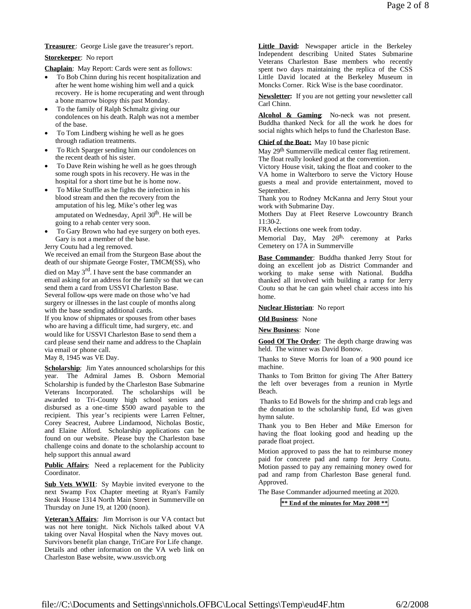**Treasurer**: George Lisle gave the treasurer's report.

### **Storekeeper**: No report

**Chaplain**: May Report: Cards were sent as follows:

- To Bob Chinn during his recent hospitalization and after he went home wishing him well and a quick recovery. He is home recuperating and went through a bone marrow biopsy this past Monday.
- To the family of Ralph Schmaltz giving our condolences on his death. Ralph was not a member of the base.
- To Tom Lindberg wishing he well as he goes through radiation treatments.
- To Rich Sparger sending him our condolences on the recent death of his sister.
- To Dave Rein wishing he well as he goes through some rough spots in his recovery. He was in the hospital for a short time but he is home now.
- To Mike Stuffle as he fights the infection in his blood stream and then the recovery from the amputation of his leg. Mike's other leg was amputated on Wednesday, April  $30<sup>th</sup>$ . He will be going to a rehab center very soon.
- To Gary Brown who had eye surgery on both eyes. Gary is not a member of the base.

Jerry Coutu had a leg removed.

We received an email from the Sturgeon Base about the death of our shipmate George Foster, TMCM(SS), who

died on May 3<sup>rd</sup>. I have sent the base commander an email asking for an address for the family so that we can send them a card from USSVI Charleston Base. Several follow-ups were made on those who've had surgery or illnesses in the last couple of months along with the base sending additional cards. If you know of shipmates or spouses from other bases who are having a difficult time, had surgery, etc. and would like for USSVI Charleston Base to send them a

card please send their name and address to the Chaplain via email or phone call.

May 8, 1945 was VE Day.

**Scholarship**: Jim Yates announced scholarships for this year. The Admiral James B. Osborn Memorial Scholarship is funded by the Charleston Base Submarine Veterans Incorporated. The scholarships will be awarded to Tri-County high school seniors and disbursed as a one-time \$500 award payable to the recipient. This year's recipients were Larren Feltner, Corey Seacrest, Aubree Lindamood, Nicholas Bostic, and Elaine Alford. Scholarship applications can be found on our website. Please buy the Charleston base challenge coins and donate to the scholarship account to help support this annual award

**Public Affairs**: Need a replacement for the Publicity Coordinator.

**Sub Vets WWII**: Sy Maybie invited everyone to the next Swamp Fox Chapter meeting at Ryan's Family Steak House 1314 North Main Street in Summerville on Thursday on June 19, at 1200 (noon).

**Veteran's Affairs**: Jim Morrison is our VA contact but was not here tonight. Nick Nichols talked about VA taking over Naval Hospital when the Navy moves out. Survivors benefit plan change, TriCare For Life change. Details and other information on the VA web link on Charleston Base website, www.ussvicb.org

**Little David:** Newspaper article in the Berkeley Independent describing United States Submarine Veterans Charleston Base members who recently spent two days maintaining the replica of the CSS Little David located at the Berkeley Museum in Moncks Corner. Rick Wise is the base coordinator.

**Newsletter:** If you are not getting your newsletter call Carl Chinn.

**Alcohol & Gaming**: No-neck was not present. Buddha thanked Neck for all the work he does for social nights which helps to fund the Charleston Base.

## **Chief of the Boat:** May 10 base picnic

May 29<sup>th</sup> Summerville medical center flag retirement. The float really looked good at the convention.

Victory House visit, taking the float and cooker to the VA home in Walterboro to serve the Victory House guests a meal and provide entertainment, moved to September.

Thank you to Rodney McKanna and Jerry Stout your work with Submarine Day.

Mothers Day at Fleet Reserve Lowcountry Branch 11:30-2.

FRA elections one week from today.

Memorial Day, May 26<sup>th,</sup> ceremony at Parks Cemetery on 17A in Summerville

**Base Commander**: Buddha thanked Jerry Stout for doing an excellent job as District Commander and working to make sense with National. Buddha thanked all involved with building a ramp for Jerry Coutu so that he can gain wheel chair access into his home.

**Nuclear Historian**: No report

**Old Business**: None

**New Business**: None

**Good Of The Order**: The depth charge drawing was held. The winner was David Bonow.

Thanks to Steve Morris for loan of a 900 pound ice machine.

Thanks to Tom Britton for giving The After Battery the left over beverages from a reunion in Myrtle Beach.

Thanks to Ed Bowels for the shrimp and crab legs and the donation to the scholarship fund, Ed was given hymn salute.

Thank you to Ben Heber and Mike Emerson for having the float looking good and heading up the parade float project.

Motion approved to pass the hat to reimburse money paid for concrete pad and ramp for Jerry Coutu. Motion passed to pay any remaining money owed for pad and ramp from Charleston Base general fund. Approved.

The Base Commander adjourned meeting at 2020.

**\*\* End of the minutes for May 2008 \*\***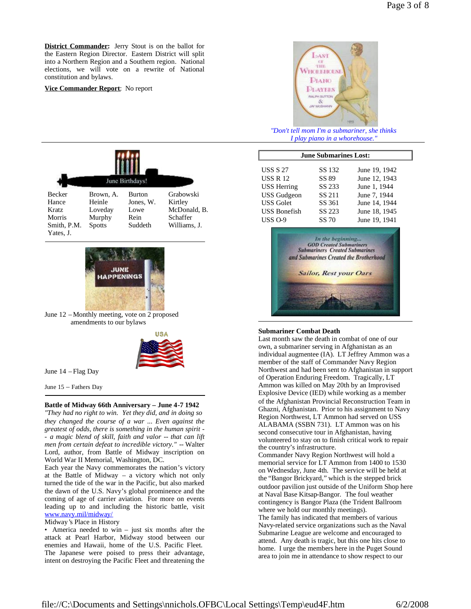**Vice Commander Report**: No report



*"Don't tell mom I'm a submariner, she thinks I play piano in a whorehouse."*

|               | June Birthdays! |               |              |  |
|---------------|-----------------|---------------|--------------|--|
| <b>Becker</b> | Brown, A.       | <b>Burton</b> | Grabowski    |  |
| Hance         | Heinle          | Jones, W.     | Kirtley      |  |
| Kratz         | Loveday         | Lowe          | McDonald, B. |  |
| Morris        | Murphy          | Rein          | Schaffer     |  |
| Smith, P.M.   | <b>Spotts</b>   | Suddeth       | Williams, J. |  |
| Yates, J.     |                 |               |              |  |



June 12 – Monthly meeting, vote on 2 proposed amendments to our bylaws



June 14 – Flag Day

June 15 – Fathers Day

**Battle of Midway 66th Anniversary – June 4-7 1942** *"They had no right to win. Yet they did, and in doing so they changed the course of a war ... Even against the greatest of odds, there is something in the human spirit - - a magic blend of skill, faith and valor -- that can lift men from certain defeat to incredible victory."* -- Walter Lord, author, from Battle of Midway inscription on World War II Memorial, Washington, DC.

Each year the Navy commemorates the nation's victory at the Battle of Midway – a victory which not only turned the tide of the war in the Pacific, but also marked the dawn of the U.S. Navy's global prominence and the coming of age of carrier aviation. For more on events leading up to and including the historic battle, visit www.navy.mil/midway/

Midway's Place in History

• America needed to win – just six months after the attack at Pearl Harbor, Midway stood between our enemies and Hawaii, home of the U.S. Pacific Fleet. The Japanese were poised to press their advantage, intent on destroying the Pacific Fleet and threatening the

| <b>June Submarines Lost:</b> |        |               |  |  |
|------------------------------|--------|---------------|--|--|
| <b>USS S 27</b>              | SS 132 | June 19, 1942 |  |  |
| <b>USS R 12</b>              | SS 89  | June 12, 1943 |  |  |
| <b>USS Herring</b>           | SS 233 | June 1, 1944  |  |  |
| <b>USS</b> Gudgeon           | SS 211 | June 7, 1944  |  |  |
| <b>USS Golet</b>             | SS 361 | June 14, 1944 |  |  |
| <b>USS Bonefish</b>          | SS 223 | June 18, 1945 |  |  |
| <b>USS 0-9</b>               | SS 70  | June 19, 1941 |  |  |
|                              |        |               |  |  |



#### **Submariner Combat Death**

Last month saw the death in combat of one of our own, a submariner serving in Afghanistan as an individual augmentee (IA). LT Jeffrey Ammon was a member of the staff of Commander Navy Region Northwest and had been sent to Afghanistan in support of Operation Enduring Freedom. Tragically, LT Ammon was killed on May 20th by an Improvised Explosive Device (IED) while working as a member of the Afghanistan Provincial Reconstruction Team in Ghazni, Afghanistan. Prior to his assignment to Navy Region Northwest, LT Ammon had served on USS ALABAMA (SSBN 731). LT Ammon was on his second consecutive tour in Afghanistan, having volunteered to stay on to finish critical work to repair the country's infrastructure.

Commander Navy Region Northwest will hold a memorial service for LT Ammon from 1400 to 1530 on Wednesday, June 4th. The service will be held at the "Bangor Brickyard," which is the stepped brick outdoor pavilion just outside of the Uniform Shop here at Naval Base Kitsap-Bangor. The foul weather contingency is Bangor Plaza (the Trident Ballroom where we hold our monthly meetings). The family has indicated that members of various Navy-related service organizations such as the Naval Submarine League are welcome and encouraged to attend. Any death is tragic, but this one hits close to home. I urge the members here in the Puget Sound area to join me in attendance to show respect to our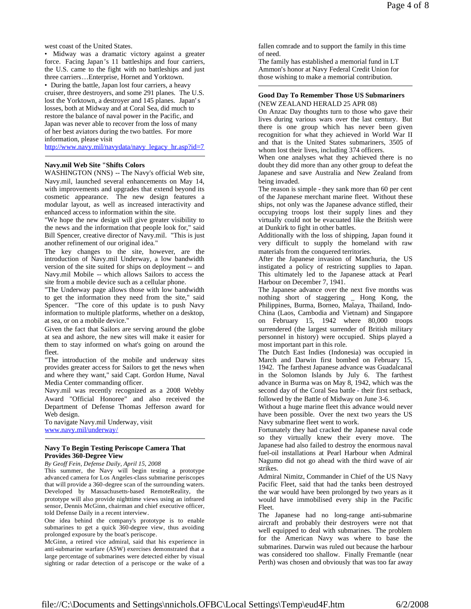west coast of the United States.

• Midway was a dramatic victory against a greater force. Facing Japan's 11 battleships and four carriers, the U.S. came to the fight with no battleships and just three carriers…Enterprise, Hornet and Yorktown.

• During the battle, Japan lost four carriers, a heavy cruiser, three destroyers, and some 291 planes. The U.S. lost the Yorktown, a destroyer and 145 planes. Japan's losses, both at Midway and at Coral Sea, did much to restore the balance of naval power in the Pacific, and Japan was never able to recover from the loss of many of her best aviators during the two battles. For more information, please visit

http://www.navy.mil/navydata/navy\_legacy\_hr.asp?id=7

#### **Navy.mil Web Site "Shifts Colors**

WASHINGTON (NNS) -- The Navy's official Web site, Navy.mil, launched several enhancements on May 14, with improvements and upgrades that extend beyond its cosmetic appearance. The new design features a modular layout, as well as increased interactivity and enhanced access to information within the site.

"We hope the new design will give greater visibility to the news and the information that people look for," said Bill Spencer, creative director of Navy.mil. "This is just another refinement of our original idea."

The key changes to the site, however, are the introduction of Navy.mil Underway, a low bandwidth version of the site suited for ships on deployment -- and Navy.mil Mobile -- which allows Sailors to access the site from a mobile device such as a cellular phone.

"The Underway page allows those with low bandwidth to get the information they need from the site," said Spencer. "The core of this update is to push Navy information to multiple platforms, whether on a desktop, at sea, or on a mobile device."

Given the fact that Sailors are serving around the globe at sea and ashore, the new sites will make it easier for them to stay informed on what's going on around the fleet.

"The introduction of the mobile and underway sites provides greater access for Sailors to get the news when and where they want," said Capt. Gordon Hume, Naval Media Center commanding officer.

Navy.mil was recently recognized as a 2008 Webby Award "Official Honoree" and also received the Department of Defense Thomas Jefferson award for Web design.

To navigate Navy.mil Underway, visit www.navy.mil/underway/

#### **Navy To Begin Testing Periscope Camera That Provides 360-Degree View**

*By Geoff Fein, Defense Daily, April 15, 2008*

This summer, the Navy will begin testing a prototype advanced camera for Los Angeles-class submarine periscopes that will provide a 360-degree scan of the surrounding waters. Developed by Massachusetts-based RemoteReality, the prototype will also provide nighttime views using an infrared sensor, Dennis McGinn, chairman and chief executive officer, told Defense Daily in a recent interview.

One idea behind the company's prototype is to enable submarines to get a quick 360-degree view, thus avoiding prolonged exposure by the boat's periscope.

McGinn, a retired vice admiral, said that his experience in anti-submarine warfare (ASW) exercises demonstrated that a large percentage of submarines were detected either by visual sighting or radar detection of a periscope or the wake of a

fallen comrade and to support the family in this time of need.

The family has established a memorial fund in LT Ammon's honor at Navy Federal Credit Union for those wishing to make a memorial contribution.

### **Good Day To Remember Those US Submariners** (NEW ZEALAND HERALD 25 APR 08)

On Anzac Day thoughts turn to those who gave their lives during various wars over the last century. But there is one group which has never been given recognition for what they achieved in World War II and that is the United States submariners, 3505 of whom lost their lives, including 374 officers.

When one analyses what they achieved there is no doubt they did more than any other group to defeat the Japanese and save Australia and New Zealand from being invaded.

The reason is simple - they sank more than 60 per cent of the Japanese merchant marine fleet. Without these ships, not only was the Japanese advance stifled, their occupying troops lost their supply lines and they virtually could not be evacuated like the British were at Dunkirk to fight in other battles.

Additionally with the loss of shipping, Japan found it very difficult to supply the homeland with raw materials from the conquered territories.

After the Japanese invasion of Manchuria, the US instigated a policy of restricting supplies to Japan. This ultimately led to the Japanese attack at Pearl Harbour on December 7, 1941.

The Japanese advance over the next five months was nothing short of staggering \_ Hong Kong, the Philippines, Burma, Borneo, Malaya, Thailand, Indo-China (Laos, Cambodia and Vietnam) and Singapore on February 15, 1942 where 80,000 troops surrendered (the largest surrender of British military personnel in history) were occupied. Ships played a most important part in this role.

The Dutch East Indies (Indonesia) was occupied in March and Darwin first bombed on February 15, 1942. The farthest Japanese advance was Guadalcanal in the Solomon Islands by July 6. The farthest advance in Burma was on May 8, 1942, which was the second day of the Coral Sea battle - their first setback, followed by the Battle of Midway on June 3-6.

Without a huge marine fleet this advance would never have been possible. Over the next two years the US Navy submarine fleet went to work.

Fortunately they had cracked the Japanese naval code so they virtually knew their every move. The Japanese had also failed to destroy the enormous naval fuel-oil installations at Pearl Harbour when Admiral Nagumo did not go ahead with the third wave of air strikes.

Admiral Nimitz, Commander in Chief of the US Navy Pacific Fleet, said that had the tanks been destroyed the war would have been prolonged by two years as it would have immobilised every ship in the Pacific Fleet.

The Japanese had no long-range anti-submarine aircraft and probably their destroyers were not that well equipped to deal with submarines. The problem for the American Navy was where to base the submarines. Darwin was ruled out because the harbour was considered too shallow. Finally Fremantle (near Perth) was chosen and obviously that was too far away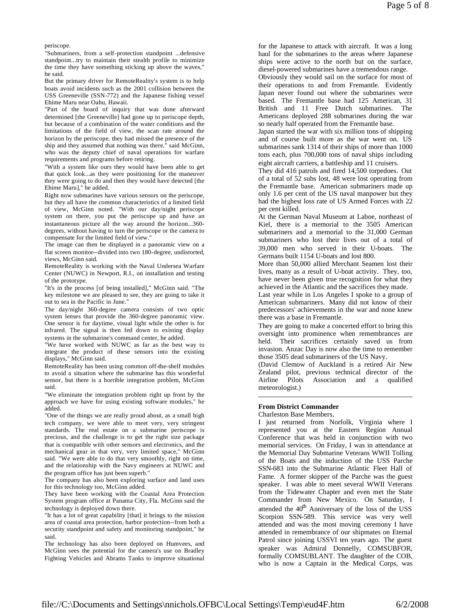periscope.

"Submariners, from a self-protection standpoint ...defensive standpoint...try to maintain their stealth profile to minimize the time they have something sticking up above the waves," he said.

But the primary driver for RemoteReality's system is to help boats avoid incidents such as the 2001 collision between the USS Greeneville (SSN-772) and the Japanese fishing vessel Ehime Maru near Oahu, Hawaii.

"Part of the board of inquiry that was done afterward determined [the Greeneville] had gone up to periscope depth, but because of a combination of the water conditions and the limitations of the field of view, the scan rate around the horizon by the periscope, they had missed the presence of the ship and they assumed that nothing was there," said McGinn, who was the deputy chief of naval operations for warfare requirements and programs before retiring.

"With a system like ours they would have been able to get that quick look...as they were positioning for the maneuver they were going to do and then they would have detected [the Ehime Maru]," he added.

Right now submarines have various sensors on the periscope, but they all have the common characteristics of a limited field of view, McGinn noted. "With our day/night periscope system on there, you put the periscope up and have an instantaneous picture all the way around the horizon...360 degrees, without having to turn the periscope or the camera to compensate for the limited field of view."

The image can then be displayed in a panoramic view on a flat screen monitor--divided into two 180-degree, undistorted, views, McGinn said.

RemoteReality is working with the Naval Undersea Warfare Center (NUWC) in Newport, R.I., on installation and testing of the prototype.

"It's in the process [of being installed]," McGinn said. "The key milestone we are pleased to see, they are going to take it out to sea in the Pacific in June."

The day/night 360-degree camera consists of two optic system lenses that provide the 360-degree panoramic view. One sensor is for daytime, visual light while the other is for infrared. The signal is then fed down to existing display systems in the submarine's command center, he added.

"We have worked with NUWC as far as the best way to integrate the product of these sensors into the existing displays," McGinn said.

RemoteReality has been using common off-the-shelf modules to avoid a situation where the submarine has this wonderful sensor, but there is a horrible integration problem, McGinn said.

"We eliminate the integration problem right up front by the approach we have for using existing software modules," he added.

"One of the things we are really proud about, as a small high tech company, we were able to meet very, very stringent standards. The real estate on a submarine periscope is precious, and the challenge is to get the right size package that is compatible with other sensors and electronics, and the mechanical gear in that very, very limited space," McGinn said. "We were able to do that very smoothly, right on time, and the relationship with the Navy engineers at NUWC and the program office has just been superb."

The company has also been exploring surface and land uses for this technology too, McGinn added.

They have been working with the Coastal Area Protection System program office at Panama City, Fla. McGinn said the technology is deployed down there.

"It has a lot of great capability [that] it brings to the mission area of coastal area protection, harbor protection--from both a security standpoint and safety and monitoring standpoint," he said.

The technology has also been deployed on Humvees, and McGinn sees the potential for the camera's use on Bradley Fighting Vehicles and Abrams Tanks to improve situational

for the Japanese to attack with aircraft. It was a long haul for the submarines to the areas where Japanese ships were active to the north but on the surface, diesel-powered submarines have a tremendous range. Obviously they would sail on the surface for most of

their operations to and from Fremantle. Evidently Japan never found out where the submarines were based. The Fremantle base had 125 American, 31 British and 11 Free Dutch submarines. The Americans deployed 288 submarines during the war so nearly half operated from the Fremantle base.

Japan started the war with six million tons of shipping and of course built more as the war went on. US submarines sank 1314 of their ships of more than 1000 tons each, plus 700,000 tons of naval ships including eight aircraft carriers, a battleship and 11 cruisers.

They did 416 patrols and fired 14,500 torpedoes. Out of a total of 52 subs lost, 48 were lost operating from the Fremantle base. American submariners made up only 1.6 per cent of the US naval manpower but they had the highest loss rate of US Armed Forces with 22 per cent killed.

At the German Naval Museum at Laboe, northeast of Kiel, there is a memorial to the 3505 American submariners and a memorial to the 31,000 German submariners who lost their lives out of a total of 39,000 men who served in their U-boats. The Germans built 1154 U-boats and lost 800.

More than 50,000 allied Merchant Seamen lost their lives, many as a result of U-boat activity. They, too, have never been given true recognition for what they achieved in the Atlantic and the sacrifices they made.

Last year while in Los Angeles I spoke to a group of American submariners. Many did not know of their predecessors' achievements in the war and none knew there was a base in Fremantle.

They are going to make a concerted effort to bring this oversight into prominence when remembrances are held. Their sacrifices certainly saved us from invasion. Anzac Day is now also the time to remember those 3505 dead submariners of the US Navy.

(David Clemow of Auckland is a retired Air New Zealand pilot, previous technical director of the Airline Pilots Association and a qualified meteorologist.)

# **From District Commander**

#### Charleston Base Members,

I just returned from Norfolk, Virginia where I represented you at the Eastern Region Annual Conference that was held in conjunction with two memorial services. On Friday, I was in attendance at the Memorial Day Submarine Veterans WWII Tolling of the Boats and the induction of the USS Parche SSN-683 into the Submarine Atlantic Fleet Hall of Fame. A former skipper of the Parche was the guest speaker. I was able to meet several WWII Veterans from the Tidewater Chapter and even met the State Commander from New Mexico. On Saturday, I attended the  $40<sup>th</sup>$  Anniversary of the loss of the USS Scorpion SSN-589. This service was very well attended and was the most moving ceremony I have attended in remembrance of our shipmates on Eternal Patrol since joining USSVI ten years ago. The guest speaker was Admiral Donnelly, COMSUBFOR, formally COMSUBLANT. The daughter of the COB, who is now a Captain in the Medical Corps, was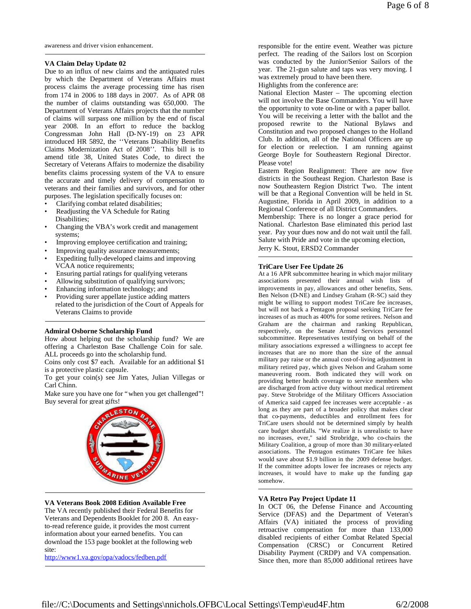awareness and driver vision enhancement.

### **VA Claim Delay Update 02**

Due to an influx of new claims and the antiquated rules by which the Department of Veterans Affairs must process claims the average processing time has risen from 174 in 2006 to 188 days in 2007. As of APR 08 the number of claims outstanding was 650,000. The Department of Veterans Affairs projects that the number of claims will surpass one million by the end of fiscal year 2008. In an effort to reduce the backlog Congressman John Hall (D-NY-19) on 23 APR introduced HR 5892, the ''Veterans Disability Benefits Claims Modernization Act of 2008''. This bill is to amend title 38, United States Code, to direct the Secretary of Veterans Affairs to modernize the disability benefits claims processing system of the VA to ensure the accurate and timely delivery of compensation to veterans and their families and survivors, and for other purposes. The legislation specifically focuses on:

- Clarifying combat related disabilities;
- Readjusting the VA Schedule for Rating Disabilities;
- Changing the VBA's work credit and management systems;
- Improving employee certification and training;
- Improving quality assurance measurements;
- Expediting fully-developed claims and improving VCAA notice requirements;
- Ensuring partial ratings for qualifying veterans
- Allowing substitution of qualifying survivors;
- Enhancing information technology; and
- Providing surer appellate justice adding matters related to the jurisdiction of the Court of Appeals for Veterans Claims to provide

## **Admiral Osborne Scholarship Fund**

How about helping out the scholarship fund? We are offering a Charleston Base Challenge Coin for sale. ALL proceeds go into the scholarship fund.

Coins only cost \$7 each. Available for an additional \$1 is a protective plastic capsule.

To get your coin(s) see Jim Yates, Julian Villegas or Carl Chinn.

Make sure you have one for "when you get challenged"! Buy several for great gifts!



### **VA Veterans Book 2008 Edition Available Free**

The VA recently published their Federal Benefits for Veterans and Dependents Booklet for 200 8. An easyto-read reference guide, it provides the most current information about your earned benefits. You can download the 153 page booklet at the following web site:

http://www1.va.gov/opa/vadocs/fedben.pdf

responsible for the entire event. Weather was picture perfect. The reading of the Sailors lost on Scorpion was conducted by the Junior/Senior Sailors of the year. The 21-gun salute and taps was very moving. I was extremely proud to have been there.

Highlights from the conference are:

National Election Master – The upcoming election will not involve the Base Commanders. You will have the opportunity to vote on-line or with a paper ballot. You will be receiving a letter with the ballot and the proposed rewrite to the National Bylaws and Constitution and two proposed changes to the Holland Club. In addition, all of the National Officers are up for election or reelection. I am running against George Boyle for Southeastern Regional Director. Please vote!

Eastern Region Realignment: There are now five districts in the Southeast Region. Charleston Base is now Southeastern Region District Two. The intent will be that a Regional Convention will be held in St. Augustine, Florida in April 2009, in addition to a Regional Conference of all District Commanders.

Membership: There is no longer a grace period for National. Charleston Base eliminated this period last year. Pay your dues now and do not wait until the fall. Salute with Pride and vote in the upcoming election, Jerry K. Stout, ERSD2 Commander

#### **TriCare User Fee Update 26**

At a 16 APR subcommittee hearing in which major military associations presented their annual wish lists of improvements in pay, allowances and other benefits, Sens. Ben Nelson (D-NE) and Lindsey Graham (R-SC) said they might be willing to support modest TriCare fee increases, but will not back a Pentagon proposal seeking TriCare fee increases of as much as 400% for some retirees. Nelson and Graham are the chairman and ranking Republican, respectively, on the Senate Armed Services personnel subcommittee. Representatives testifying on behalf of the military associations expressed a willingness to accept fee increases that are no more than the size of the annual military pay raise or the annual cost-of-living adjustment in military retired pay, which gives Nelson and Graham some maneuvering room. Both indicated they will work on providing better health coverage to service members who are discharged from active duty without medical retirement pay. Steve Strobridge of the Military Officers Association of America said capped fee increases were acceptable - as long as they are part of a broader policy that makes clear that co-payments, deductibles and enrollment fees for TriCare users should not be determined simply by health care budget shortfalls. "We realize it is unrealistic to have no increases, ever," said Strobridge, who co-chairs the Military Coalition, a group of more than 30 military-related associations. The Pentagon estimates TriCare fee hikes would save about \$1.9 billion in the 2009 defense budget. If the committee adopts lower fee increases or rejects any increases, it would have to make up the funding gap somehow.

### **VA Retro Pay Project Update 11**

In OCT 06, the Defense Finance and Accounting Service (DFAS) and the Department of Veteran's Affairs (VA) initiated the process of providing retroactive compensation for more than 133,000 disabled recipients of either Combat Related Special Compensation (CRSC) or Concurrent Retired Disability Payment (CRDP) and VA compensation. Since then, more than 85,000 additional retirees have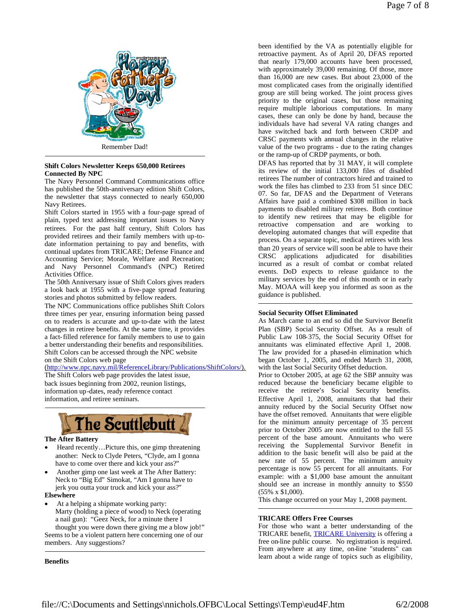

Remember Dad!

### **Shift Colors Newsletter Keeps 650,000 Retirees Connected By NPC**

The Navy Personnel Command Communications office has published the 50th-anniversary edition Shift Colors, the newsletter that stays connected to nearly 650,000 Navy Retirees.

Shift Colors started in 1955 with a four-page spread of plain, typed text addressing important issues to Navy retirees. For the past half century, Shift Colors has provided retirees and their family members with up-todate information pertaining to pay and benefits, with continual updates from TRICARE; Defense Finance and Accounting Service; Morale, Welfare and Recreation; and Navy Personnel Command's (NPC) Retired Activities Office.

The 50th Anniversary issue of Shift Colors gives readers a look back at 1955 with a five-page spread featuring stories and photos submitted by fellow readers.

The NPC Communications office publishes Shift Colors three times per year, ensuring information being passed on to readers is accurate and up-to-date with the latest changes in retiree benefits. At the same time, it provides a fact-filled reference for family members to use to gain a better understanding their benefits and responsibilities. Shift Colors can be accessed through the NPC website

on the Shift Colors web page

(http://www.npc.navy.mil/ReferenceLibrary/Publications/ShiftColors/).

The Shift Colors web page provides the latest issue, back issues beginning from 2002, reunion listings, information up-dates, ready reference contact information, and retiree seminars.



# **The After Battery**

- Heard recently…Picture this, one gimp threatening another: Neck to Clyde Peters, "Clyde, am I gonna have to come over there and kick your ass?"
- Another gimp one last week at The After Battery: Neck to "Big Ed" Simokat, "Am I gonna have to jerk you outta your truck and kick your ass?"

# **Elsewhere**

At a helping a shipmate working party:

members. Any suggestions?

Marty (holding a piece of wood) to Neck (operating a nail gun): "Geez Neck, for a minute there I thought you were down there giving me a blow job!" Seems to be a violent pattern here concerning one of our

**Benefits**

been identified by the VA as potentially eligible for retroactive payment. As of April 20, DFAS reported that nearly 179,000 accounts have been processed, with approximately 39,000 remaining. Of those, more than 16,000 are new cases. But about 23,000 of the most complicated cases from the originally identified group are still being worked. The joint process gives priority to the original cases, but those remaining require multiple laborious computations. In many cases, these can only be done by hand, because the individuals have had several VA rating changes and have switched back and forth between CRDP and CRSC payments with annual changes in the relative value of the two programs - due to the rating changes or the ramp-up of CRDP payments, or both.

DFAS has reported that by 31 MAY, it will complete its review of the initial 133,000 files of disabled retirees The number of contractors hired and trained to work the files has climbed to 233 from 51 since DEC 07. So far, DFAS and the Department of Veterans Affairs have paid a combined \$308 million in back payments to disabled military retirees. Both continue to identify new retirees that may be eligible for retroactive compensation and are working to developing automated changes that will expedite that process. On a separate topic, medical retirees with less than 20 years of service will soon be able to have their CRSC applications adjudicated for disabilities incurred as a result of combat or combat related events. DoD expects to release guidance to the military services by the end of this month or in early May. MOAA will keep you informed as soon as the guidance is published.

# **Social Security Offset Eliminated**

As March came to an end so did the Survivor Benefit Plan (SBP) Social Security Offset. As a result of Public Law 108-375, the Social Security Offset for annuitants was eliminated effective April 1, 2008. The law provided for a phased-in elimination which began October 1, 2005, and ended March 31, 2008, with the last Social Security Offset deduction.

Prior to October 2005, at age 62 the SBP annuity was reduced because the beneficiary became eligible to receive the retiree's Social Security benefits. Effective April 1, 2008, annuitants that had their annuity reduced by the Social Security Offset now have the offset removed. Annuitants that were eligible for the minimum annuity percentage of 35 percent prior to October 2005 are now entitled to the full 55 percent of the base amount. Annuitants who were receiving the Supplemental Survivor Benefit in addition to the basic benefit will also be paid at the new rate of 55 percent. The minimum annuity percentage is now 55 percent for all annuitants. For example: with a \$1,000 base amount the annuitant should see an increase in monthly annuity to \$550 (55% x \$1,000).

This change occurred on your May 1, 2008 payment.

# **TRICARE Offers Free Courses**

For those who want a better understanding of the TRICARE benefit, TRICARE University is offering a free on-line public course. No registration is required. From anywhere at any time, on-line "students" can learn about a wide range of topics such as eligibility,